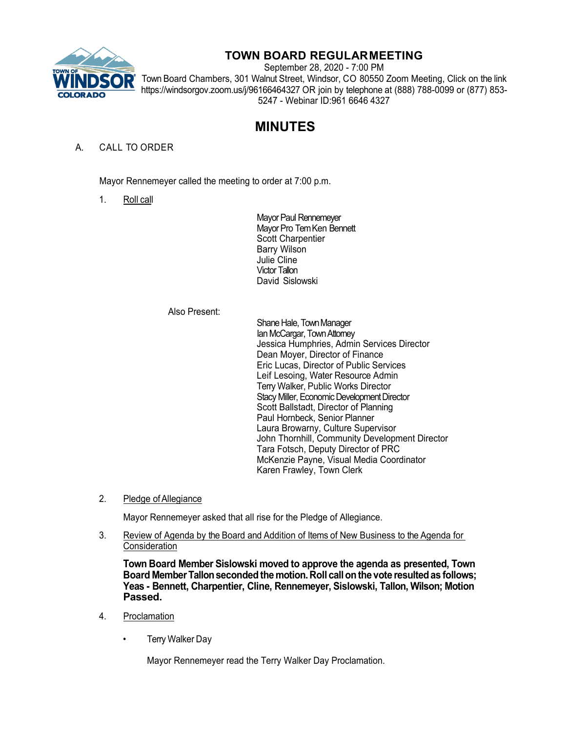

## **TOWN BOARD REGULARMEETING**

September 28, 2020 - 7:00 PM Town Board Chambers, 301 Walnut Street, Windsor, CO 80550 Zoom Meeting, Click on the link https://windsorgov.zoom.us/j/96166464327 OR join by telephone at (888) 788-0099 or (877) 853- 5247 - Webinar ID:961 6646 4327

# **MINUTES**

## A. CALL TO ORDER

Mayor Rennemeyer called the meeting to order at 7:00 p.m.

1. Roll call

Mayor Paul Rennemeyer Mayor Pro Tem Ken Bennett Scott Charpentier Barry Wilson Julie Cline Victor Tallon David Sislowski

## Also Present:

Shane Hale, Town Manager Ian McCargar, Town Attorney Jessica Humphries, Admin Services Director Dean Moyer, Director of Finance Eric Lucas, Director of Public Services Leif Lesoing, Water Resource Admin Terry Walker, Public Works Director Stacy Miller, Economic Development Director Scott Ballstadt, Director of Planning Paul Hornbeck, Senior Planner Laura Browarny, Culture Supervisor John Thornhill, Community Development Director Tara Fotsch, Deputy Director of PRC McKenzie Payne, Visual Media Coordinator Karen Frawley, Town Clerk

## 2. Pledge of Allegiance

Mayor Rennemeyer asked that all rise for the Pledge of Allegiance.

3. Review of Agenda by the Board and Addition of Items of New Business to the Agenda for **Consideration** 

**Town Board Member Sislowski moved to approve the agenda as presented, Town Board MemberTallonsecondedthe motion.Roll callonthe vote resultedas follows; Yeas - Bennett, Charpentier, Cline, Rennemeyer, Sislowski, Tallon, Wilson; Motion Passed.**

- 4. Proclamation
	- Terry Walker Day

Mayor Rennemeyer read the Terry Walker Day Proclamation.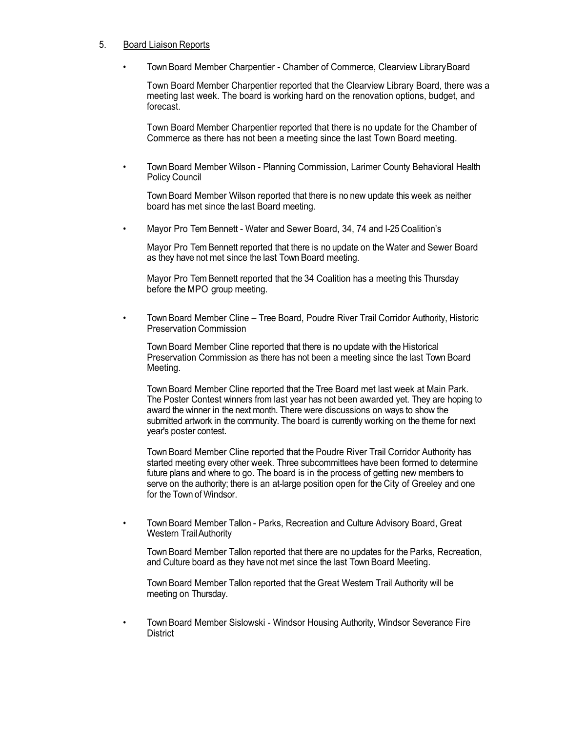#### 5. Board Liaison Reports

• Town Board Member Charpentier - Chamber of Commerce, Clearview LibraryBoard

Town Board Member Charpentier reported that the Clearview Library Board, there was a meeting last week. The board is working hard on the renovation options, budget, and forecast.

Town Board Member Charpentier reported that there is no update for the Chamber of Commerce as there has not been a meeting since the last Town Board meeting.

• Town Board Member Wilson - Planning Commission, Larimer County Behavioral Health Policy Council

Town Board Member Wilson reported that there is no new update this week as neither board has met since the last Board meeting.

• Mayor Pro Tem Bennett - Water and Sewer Board, 34, 74 and I-25Coalition's

Mayor Pro Tem Bennett reported that there is no update on the Water and Sewer Board as they have not met since the last Town Board meeting.

Mayor Pro Tem Bennett reported that the 34 Coalition has a meeting this Thursday before the MPO group meeting.

• Town Board Member Cline – Tree Board, Poudre River Trail Corridor Authority, Historic Preservation Commission

Town Board Member Cline reported that there is no update with the Historical Preservation Commission as there has not been a meeting since the last Town Board Meeting.

Town Board Member Cline reported that the Tree Board met last week at Main Park. The Poster Contest winners from last year has not been awarded yet. They are hoping to award the winner in the next month. There were discussions on ways to show the submitted artwork in the community. The board is currently working on the theme for next year's poster contest.

Town Board Member Cline reported that the Poudre River Trail Corridor Authority has started meeting every other week. Three subcommittees have been formed to determine future plans and where to go. The board is in the process of getting new members to serve on the authority; there is an at-large position open for the City of Greeley and one for the Town of Windsor.

• Town Board Member Tallon - Parks, Recreation and Culture Advisory Board, Great Western TrailAuthority

Town Board Member Tallon reported that there are no updates for the Parks, Recreation, and Culture board as they have not met since the last Town Board Meeting.

Town Board Member Tallon reported that the Great Western Trail Authority will be meeting on Thursday.

• Town Board Member Sislowski - Windsor Housing Authority, Windsor Severance Fire **District**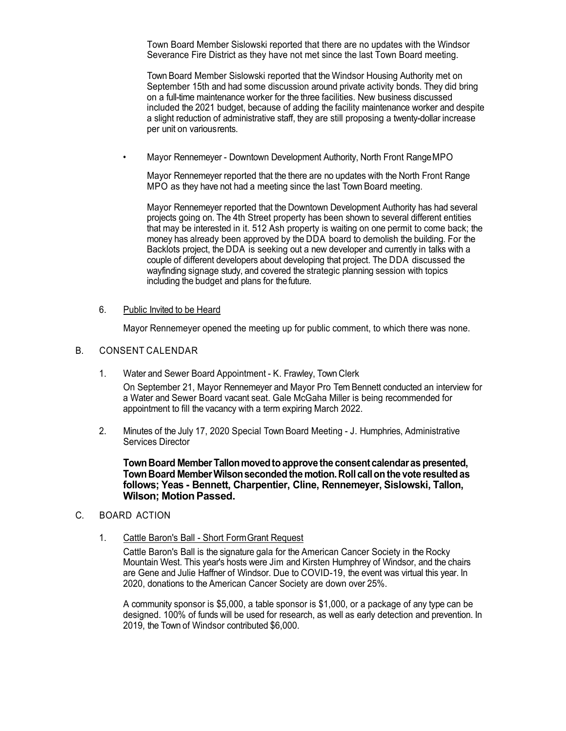Town Board Member Sislowski reported that there are no updates with the Windsor Severance Fire District as they have not met since the last Town Board meeting.

Town Board Member Sislowski reported that the Windsor Housing Authority met on September 15th and had some discussion around private activity bonds. They did bring on a full-time maintenance worker for the three facilities. New business discussed included the 2021 budget, because of adding the facility maintenance worker and despite a slight reduction of administrative staff, they are still proposing a twenty-dollar increase per unit on variousrents.

• Mayor Rennemeyer - Downtown Development Authority, North Front RangeMPO

Mayor Rennemeyer reported that the there are no updates with the North Front Range MPO as they have not had a meeting since the last Town Board meeting.

Mayor Rennemeyer reported that the Downtown Development Authority has had several projects going on. The 4th Street property has been shown to several different entities that may be interested in it. 512 Ash property is waiting on one permit to come back; the money has already been approved by the DDA board to demolish the building. For the Backlots project, the DDA is seeking out a new developer and currently in talks with a couple of different developers about developing that project. The DDA discussed the wayfinding signage study, and covered the strategic planning session with topics including the budget and plans for thefuture.

#### 6. Public Invited to be Heard

Mayor Rennemeyer opened the meeting up for public comment, to which there was none.

## B. CONSENT CALENDAR

1. Water and Sewer Board Appointment - K. Frawley, TownClerk

On September 21, Mayor Rennemeyer and Mayor Pro Tem Bennett conducted an interview for a Water and Sewer Board vacant seat. Gale McGaha Miller is being recommended for appointment to fill the vacancy with a term expiring March 2022.

2. Minutes of the July 17, 2020 Special Town Board Meeting - J. Humphries, Administrative Services Director

**TownBoard MemberTallonmovedtoapprove the consent calendaras presented, TownBoard MemberWilsonsecondedthe motion.Roll callon the vote resultedas follows; Yeas - Bennett, Charpentier, Cline, Rennemeyer, Sislowski, Tallon, Wilson; MotionPassed.**

#### C. BOARD ACTION

#### 1. Cattle Baron's Ball - Short FormGrant Request

Cattle Baron's Ball is the signature gala for the American Cancer Society in the Rocky Mountain West. This year's hosts were Jim and Kirsten Humphrey of Windsor, and the chairs are Gene and Julie Haffner of Windsor. Due to COVID-19, the event was virtual this year. In 2020, donations to the American Cancer Society are down over 25%.

A community sponsor is \$5,000, a table sponsor is \$1,000, or a package of any type can be designed. 100% of funds will be used for research, as well as early detection and prevention. In 2019, the Town of Windsor contributed \$6,000.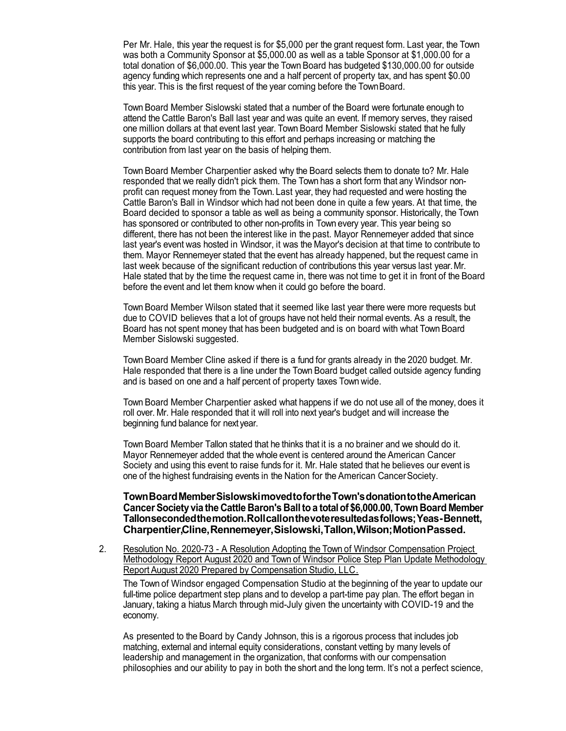Per Mr. Hale, this year the request is for \$5,000 per the grant request form. Last year, the Town was both a Community Sponsor at \$5,000.00 as well as a table Sponsor at \$1,000.00 for a total donation of \$6,000.00. This year the Town Board has budgeted \$130,000.00 for outside agency funding which represents one and a half percent of property tax, and has spent \$0.00 this year. This is the first request of the year coming before the TownBoard.

Town Board Member Sislowski stated that a number of the Board were fortunate enough to attend the Cattle Baron's Ball last year and was quite an event. If memory serves, they raised one million dollars at that event last year. Town Board Member Sislowski stated that he fully supports the board contributing to this effort and perhaps increasing or matching the contribution from last year on the basis of helping them.

Town Board Member Charpentier asked why the Board selects them to donate to? Mr. Hale responded that we really didn't pick them. The Town has a short form that any Windsor nonprofit can request money from the Town. Last year, they had requested and were hosting the Cattle Baron's Ball in Windsor which had not been done in quite a few years. At that time, the Board decided to sponsor a table as well as being a community sponsor. Historically, the Town has sponsored or contributed to other non-profits in Town every year. This year being so different, there has not been the interest like in the past. Mayor Rennemeyer added that since last year's event was hosted in Windsor, it was the Mayor's decision at that time to contribute to them. Mayor Rennemeyer stated that the event has already happened, but the request came in last week because of the significant reduction of contributions this year versus last year.Mr. Hale stated that by the time the request came in, there was not time to get it in front of the Board before the event and let them know when it could go before the board.

Town Board Member Wilson stated that it seemed like last year there were more requests but due to COVID believes that a lot of groups have not held their normal events. As a result, the Board has not spent money that has been budgeted and is on board with what Town Board Member Sislowski suggested.

Town Board Member Cline asked if there is a fund for grants already in the 2020 budget. Mr. Hale responded that there is a line under the Town Board budget called outside agency funding and is based on one and a half percent of property taxes Town wide.

Town Board Member Charpentier asked what happens if we do not use all of the money, does it roll over. Mr. Hale responded that it will roll into next year's budget and will increase the beginning fund balance for next year.

Town Board Member Tallon stated that he thinks that it is a no brainer and we should do it. Mayor Rennemeyer added that the whole event is centered around the American Cancer Society and using this event to raise funds for it. Mr. Hale stated that he believes our event is one of the highest fundraising events in the Nation for the American CancerSociety.

**TownBoardMemberSislowskimovedtofortheTown'sdonationtotheAmerican CancerSociety via the Cattle Baron's Balltoa totalof \$6,000.00,Town Board Member Tallonsecondedthemotion.Rollcallonthevoteresultedasfollows;Yeas-Bennett, Charpentier,Cline,Rennemeyer,Sislowski,Tallon,Wilson;MotionPassed.**

2. Resolution No. 2020-73 - A Resolution Adopting the Town of Windsor Compensation Project Methodology Report August 2020 and Town of Windsor Police Step Plan Update Methodology Report August 2020 Prepared by Compensation Studio, LLC.

The Town of Windsor engaged Compensation Studio at the beginning of the year to update our full-time police department step plans and to develop a part-time pay plan. The effort began in January, taking a hiatus March through mid-July given the uncertainty with COVID-19 and the economy.

As presented to the Board by Candy Johnson, this is a rigorous process that includes job matching, external and internal equity considerations, constant vetting by many levels of leadership and management in the organization, that conforms with our compensation philosophies and our ability to pay in both the short and the long term. It's not a perfect science,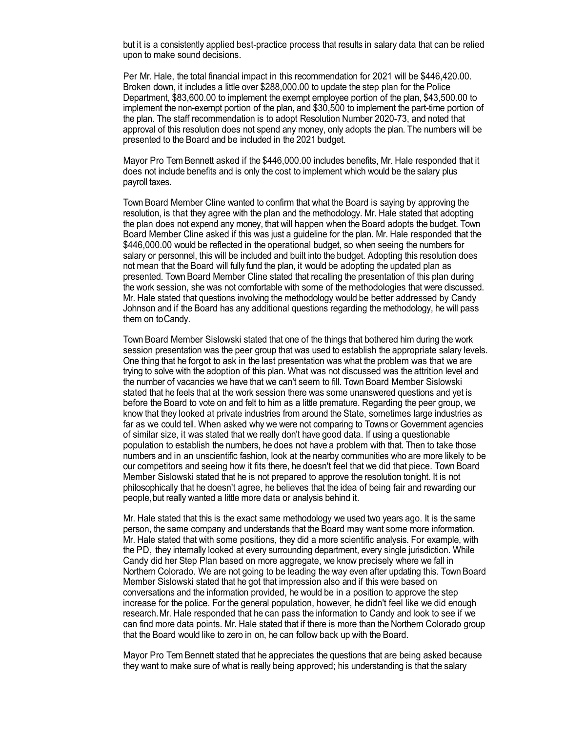but it is a consistently applied best-practice process that results in salary data that can be relied upon to make sound decisions.

Per Mr. Hale, the total financial impact in this recommendation for 2021 will be \$446,420.00. Broken down, it includes a little over \$288,000.00 to update the step plan for the Police Department, \$83,600.00 to implement the exempt employee portion of the plan, \$43,500.00 to implement the non-exempt portion of the plan, and \$30,500 to implement the part-time portion of the plan. The staff recommendation is to adopt Resolution Number 2020-73, and noted that approval of this resolution does not spend any money, only adopts the plan. The numbers will be presented to the Board and be included in the 2021 budget.

Mayor Pro Tem Bennett asked if the \$446,000.00 includes benefits, Mr. Hale responded that it does not include benefits and is only the cost to implement which would be the salary plus payroll taxes.

Town Board Member Cline wanted to confirm that what the Board is saying by approving the resolution, is that they agree with the plan and the methodology. Mr. Hale stated that adopting the plan does not expend any money, that will happen when the Board adopts the budget. Town Board Member Cline asked if this was just a guideline for the plan. Mr. Hale responded that the \$446,000.00 would be reflected in the operational budget, so when seeing the numbers for salary or personnel, this will be included and built into the budget. Adopting this resolution does not mean that the Board will fully fund the plan, it would be adopting the updated plan as presented. Town Board Member Cline stated that recalling the presentation of this plan during the work session, she was not comfortable with some of the methodologies that were discussed. Mr. Hale stated that questions involving the methodology would be better addressed by Candy Johnson and if the Board has any additional questions regarding the methodology, he will pass them on toCandy.

Town Board Member Sislowski stated that one of the things that bothered him during the work session presentation was the peer group that was used to establish the appropriate salary levels. One thing that he forgot to ask in the last presentation was what the problem was that we are trying to solve with the adoption of this plan. What was not discussed was the attrition level and the number of vacancies we have that we can't seem to fill. Town Board Member Sislowski stated that he feels that at the work session there was some unanswered questions and yet is before the Board to vote on and felt to him as a little premature. Regarding the peer group, we know that they looked at private industries from around the State, sometimes large industries as far as we could tell. When asked why we were not comparing to Towns or Government agencies of similar size, it was stated that we really don't have good data. If using a questionable population to establish the numbers, he does not have a problem with that. Then to take those numbers and in an unscientific fashion, look at the nearby communities who are more likely to be our competitors and seeing how it fits there, he doesn't feel that we did that piece. Town Board Member Sislowski stated that he is not prepared to approve the resolution tonight. It is not philosophically that he doesn't agree, he believes that the idea of being fair and rewarding our people,but really wanted a little more data or analysis behind it.

Mr. Hale stated that this is the exact same methodology we used two years ago. It is the same person, the same company and understands that the Board may want some more information. Mr. Hale stated that with some positions, they did a more scientific analysis. For example, with the PD, they internally looked at every surrounding department, every single jurisdiction. While Candy did her Step Plan based on more aggregate, we know precisely where we fall in Northern Colorado. We are not going to be leading the way even after updating this. Town Board Member Sislowski stated that he got that impression also and if this were based on conversations and the information provided, he would be in a position to approve the step increase for the police. For the general population, however, he didn't feel like we did enough research.Mr. Hale responded that he can pass the information to Candy and look to see if we can find more data points. Mr. Hale stated that if there is more than the Northern Colorado group that the Board would like to zero in on, he can follow back up with the Board.

Mayor Pro Tem Bennett stated that he appreciates the questions that are being asked because they want to make sure of what is really being approved; his understanding is that the salary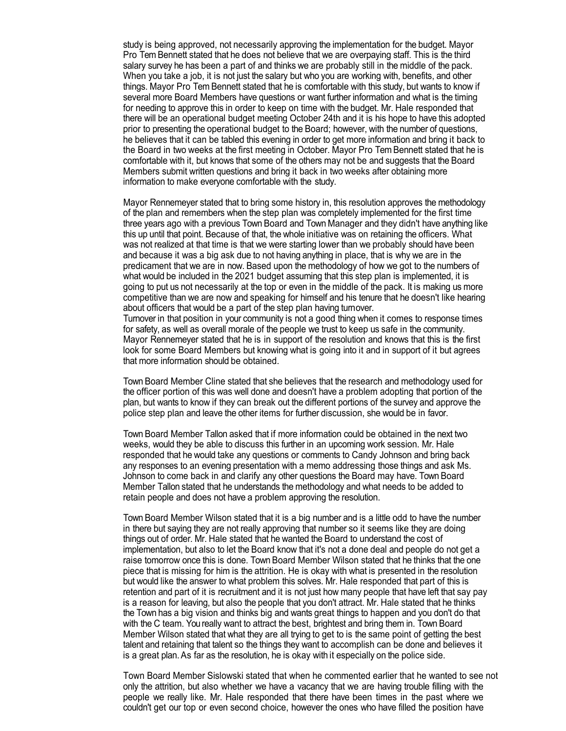study is being approved, not necessarily approving the implementation for the budget. Mayor Pro Tem Bennett stated that he does not believe that we are overpaying staff. This is the third salary survey he has been a part of and thinks we are probably still in the middle of the pack. When you take a job, it is not just the salary but who you are working with, benefits, and other things. Mayor Pro Tem Bennett stated that he is comfortable with this study, but wants to know if several more Board Members have questions or want further information and what is the timing for needing to approve this in order to keep on time with the budget. Mr. Hale responded that there will be an operational budget meeting October 24th and it is his hope to have this adopted prior to presenting the operational budget to the Board; however, with the number of questions, he believes that it can be tabled this evening in order to get more information and bring it back to the Board in two weeks at the first meeting in October. Mayor Pro Tem Bennett stated that he is comfortable with it, but knows that some of the others may not be and suggests that the Board Members submit written questions and bring it back in two weeks after obtaining more information to make everyone comfortable with the study.

Mayor Rennemeyer stated that to bring some history in, this resolution approves the methodology of the plan and remembers when the step plan was completely implemented for the first time three years ago with a previous Town Board and Town Manager and they didn't have anything like this up until that point. Because of that, the whole initiative was on retaining the officers. What was not realized at that time is that we were starting lower than we probably should have been and because it was a big ask due to not having anything in place, that is why we are in the predicament that we are in now. Based upon the methodology of how we got to the numbers of what would be included in the 2021 budget assuming that this step plan is implemented, it is going to put us not necessarily at the top or even in the middle of the pack. It is making us more competitive than we are now and speaking for himself and his tenure that he doesn't like hearing about officers that would be a part of the step plan having turnover.

Turnover in that position in your community is not a good thing when it comes to response times for safety, as well as overall morale of the people we trust to keep us safe in the community. Mayor Rennemeyer stated that he is in support of the resolution and knows that this is the first look for some Board Members but knowing what is going into it and in support of it but agrees that more information should be obtained.

Town Board Member Cline stated that she believes that the research and methodology used for the officer portion of this was well done and doesn't have a problem adopting that portion of the plan, but wants to know if they can break out the different portions of the survey and approve the police step plan and leave the other items for further discussion, she would be in favor.

Town Board Member Tallon asked that if more information could be obtained in the next two weeks, would they be able to discuss this further in an upcoming work session. Mr. Hale responded that he would take any questions or comments to Candy Johnson and bring back any responses to an evening presentation with a memo addressing those things and ask Ms. Johnson to come back in and clarify any other questions the Board may have. Town Board Member Tallon stated that he understands the methodology and what needs to be added to retain people and does not have a problem approving the resolution.

Town Board Member Wilson stated that it is a big number and is a little odd to have the number in there but saying they are not really approving that number so it seems like they are doing things out of order. Mr. Hale stated that he wanted the Board to understand the cost of implementation, but also to let the Board know that it's not a done deal and people do not get a raise tomorrow once this is done. Town Board Member Wilson stated that he thinks that the one piece that is missing for him is the attrition. He is okay with what is presented in the resolution but would like the answer to what problem this solves. Mr. Hale responded that part of this is retention and part of it is recruitment and it is not just how many people that have left that say pay is a reason for leaving, but also the people that you don't attract. Mr. Hale stated that he thinks the Town has a big vision and thinks big and wants great things to happen and you don't do that with the C team. You really want to attract the best, brightest and bring them in. Town Board Member Wilson stated that what they are all trying to get to is the same point of getting the best talent and retaining that talent so the things they want to accomplish can be done and believes it is a great plan. As far as the resolution, he is okay with it especially on the police side.

Town Board Member Sislowski stated that when he commented earlier that he wanted to see not only the attrition, but also whether we have a vacancy that we are having trouble filling with the people we really like. Mr. Hale responded that there have been times in the past where we couldn't get our top or even second choice, however the ones who have filled the position have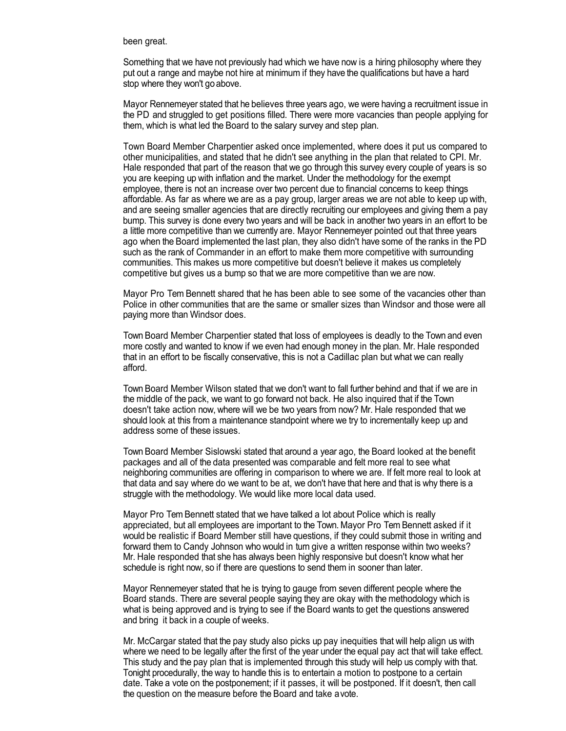been great.

Something that we have not previously had which we have now is a hiring philosophy where they put out a range and maybe not hire at minimum if they have the qualifications but have a hard stop where they won't go above.

Mayor Rennemeyer stated that he believes three years ago, we were having a recruitment issue in the PD and struggled to get positions filled. There were more vacancies than people applying for them, which is what led the Board to the salary survey and step plan.

Town Board Member Charpentier asked once implemented, where does it put us compared to other municipalities, and stated that he didn't see anything in the plan that related to CPI. Mr. Hale responded that part of the reason that we go through this survey every couple of years is so you are keeping up with inflation and the market. Under the methodology for the exempt employee, there is not an increase over two percent due to financial concerns to keep things affordable. As far as where we are as a pay group, larger areas we are not able to keep up with, and are seeing smaller agencies that are directly recruiting our employees and giving them a pay bump. This survey is done every two years and will be back in another two years in an effort to be a little more competitive than we currently are. Mayor Rennemeyer pointed out that three years ago when the Board implemented the last plan, they also didn't have some of the ranks in the PD such as the rank of Commander in an effort to make them more competitive with surrounding communities. This makes us more competitive but doesn't believe it makes us completely competitive but gives us a bump so that we are more competitive than we are now.

Mayor Pro Tem Bennett shared that he has been able to see some of the vacancies other than Police in other communities that are the same or smaller sizes than Windsor and those were all paying more than Windsor does.

Town Board Member Charpentier stated that loss of employees is deadly to the Town and even more costly and wanted to know if we even had enough money in the plan. Mr. Hale responded that in an effort to be fiscally conservative, this is not a Cadillac plan but what we can really afford.

Town Board Member Wilson stated that we don't want to fall further behind and that if we are in the middle of the pack, we want to go forward not back. He also inquired that if the Town doesn't take action now, where will we be two years from now? Mr. Hale responded that we should look at this from a maintenance standpoint where we try to incrementally keep up and address some of these issues.

Town Board Member Sislowski stated that around a year ago, the Board looked at the benefit packages and all of the data presented was comparable and felt more real to see what neighboring communities are offering in comparison to where we are. If felt more real to look at that data and say where do we want to be at, we don't have that here and that is why there is a struggle with the methodology. We would like more local data used.

Mayor Pro Tem Bennett stated that we have talked a lot about Police which is really appreciated, but all employees are important to the Town. Mayor Pro Tem Bennett asked if it would be realistic if Board Member still have questions, if they could submit those in writing and forward them to Candy Johnson who would in turn give a written response within two weeks? Mr. Hale responded that she has always been highly responsive but doesn't know what her schedule is right now, so if there are questions to send them in sooner than later.

Mayor Rennemeyer stated that he is trying to gauge from seven different people where the Board stands. There are several people saying they are okay with the methodology which is what is being approved and is trying to see if the Board wants to get the questions answered and bring it back in a couple of weeks.

Mr. McCargar stated that the pay study also picks up pay inequities that will help align us with where we need to be legally after the first of the year under the equal pay act that will take effect. This study and the pay plan that is implemented through this study will help us comply with that. Tonight procedurally, the way to handle this is to entertain a motion to postpone to a certain date. Take a vote on the postponement; if it passes, it will be postponed. If it doesn't, then call the question on the measure before the Board and take avote.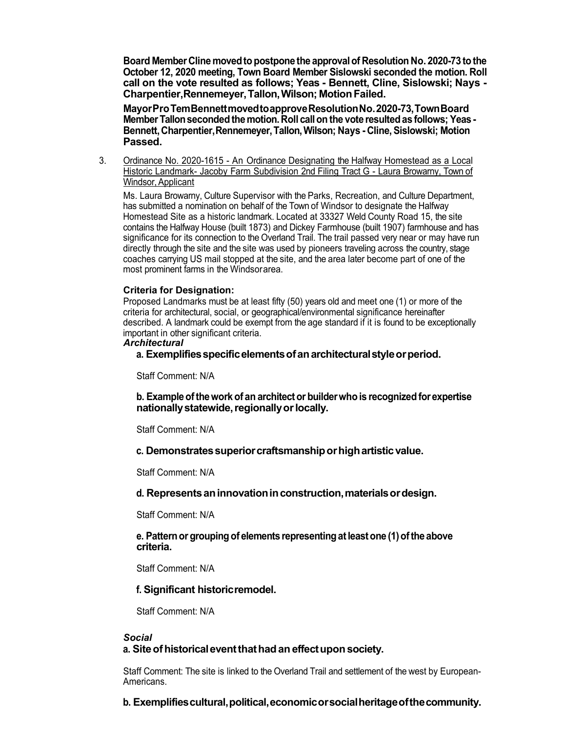**Board MemberCline movedtopostpone the approvalof Resolution No. 2020-73 tothe October 12, 2020 meeting, Town Board Member Sislowski seconded the motion. Roll call on the vote resulted as follows; Yeas - Bennett, Cline, Sislowski; Nays - Charpentier,Rennemeyer,Tallon,Wilson; MotionFailed.**

**MayorProTemBennettmovedtoapproveResolutionNo.2020-73,TownBoard MemberTallonsecondedthemotion. Roll callon the vote resultedas follows; Yeas-Bennett,Charpentier,Rennemeyer,Tallon,Wilson; Nays - Cline,Sislowski; Motion Passed.**

3. Ordinance No. 2020-1615 - An Ordinance Designating the Halfway Homestead as a Local Historic Landmark- Jacoby Farm Subdivision 2nd Filing Tract G - Laura Browarny, Town of Windsor, Applicant

Ms. Laura Browarny, Culture Supervisor with the Parks, Recreation, and Culture Department, has submitted a nomination on behalf of the Town of Windsor to designate the Halfway Homestead Site as a historic landmark. Located at 33327 Weld County Road 15, the site contains the Halfway House (built 1873) and Dickey Farmhouse (built 1907) farmhouse and has significance for its connection to the Overland Trail. The trail passed very near or may have run directly through the site and the site was used by pioneers traveling across the country, stage coaches carrying US mail stopped at the site, and the area later become part of one of the most prominent farms in the Windsorarea.

#### **Criteria for Designation:**

Proposed Landmarks must be at least fifty (50) years old and meet one (1) or more of the criteria for architectural, social, or geographical/environmental significance hereinafter described. A landmark could be exempt from the age standard if it is found to be exceptionally important in other significant criteria.

#### *Architectural*

**a. Exemplifiesspecificelementsofanarchitecturalstyleorperiod.**

Staff Comment: N/A

**b. Exampleofthework of an architector builderwhois recognizedfor expertise nationallystatewide,regionallyorlocally.**

Staff Comment: N/A

#### **c. Demonstratessuperiorcraftsmanshiporhighartisticvalue.**

Staff Comment: N/A

**d. Representsaninnovationinconstruction,materialsordesign.**

Staff Comment: N/A

## **e. Patternor groupingof elements representingatleastone (1)ofthe above criteria.**

Staff Comment: N/A

## **f. Significant historicremodel.**

Staff Comment: N/A

#### *Social*

## **a. Siteofhistoricaleventthathadan effectuponsociety.**

Staff Comment: The site is linked to the Overland Trail and settlement of the west by European-Americans.

**b. Exemplifiescultural,political,economicorsocialheritageofthecommunity.**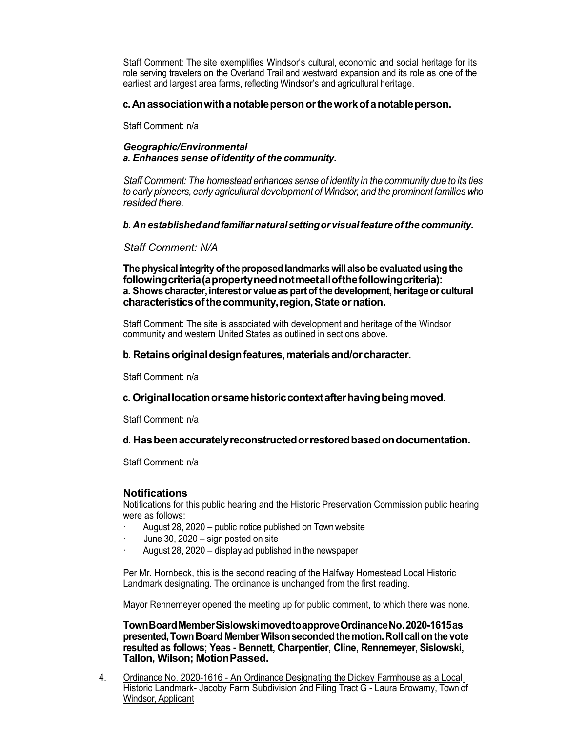Staff Comment: The site exemplifies Windsor's cultural, economic and social heritage for its role serving travelers on the Overland Trail and westward expansion and its role as one of the earliest and largest area farms, reflecting Windsor's and agricultural heritage.

## **c. Anassociationwithanotablepersonortheworkofanotableperson.**

Staff Comment: n/a

## *Geographic/Environmental a. Enhances sense of identity of the community.*

*Staff Comment: The homestead enhances sense of identity in the community due to its ties to early pioneers, early agricultural development of Windsor, and the prominent families who resided there.*

#### *b. An establishedandfamiliarnaturalsettingorvisualfeatureofthe community.*

#### *Staff Comment: N/A*

**The physicalintegrityoftheproposedlandmarkswillalsobe evaluatedusingthe followingcriteria(apropertyneednotmeetallofthefollowingcriteria): a. Shows character,interestor valueas partofthedevelopment,heritageor cultural characteristicsofthecommunity,region,Stateornation.**

Staff Comment: The site is associated with development and heritage of the Windsor community and western United States as outlined in sections above.

#### **b. Retainsoriginaldesignfeatures,materialsand/orcharacter.**

Staff Comment: n/a

#### **c. Originallocationorsamehistoriccontextafterhavingbeingmoved.**

Staff Comment: n/a

## **d. Hasbeenaccuratelyreconstructedorrestoredbasedondocumentation.**

Staff Comment: n/a

## **Notifications**

Notifications for this public hearing and the Historic Preservation Commission public hearing were as follows:

- August 28, 2020 public notice published on Town website
- June 30,  $2020 -$  sign posted on site
- August 28, 2020 display ad published in the newspaper

Per Mr. Hornbeck, this is the second reading of the Halfway Homestead Local Historic Landmark designating. The ordinance is unchanged from the first reading.

Mayor Rennemeyer opened the meeting up for public comment, to which there was none.

**TownBoardMemberSislowskimovedtoapproveOrdinanceNo.2020-1615as presented,TownBoard MemberWilsonsecondedthemotion.Roll callon the vote resulted as follows; Yeas - Bennett, Charpentier, Cline, Rennemeyer, Sislowski, Tallon, Wilson; MotionPassed.**

4. Ordinance No. 2020-1616 - An Ordinance Designating the Dickey Farmhouse as a Local Historic Landmark- Jacoby Farm Subdivision 2nd Filing Tract G - Laura Browarny, Town of Windsor,Applicant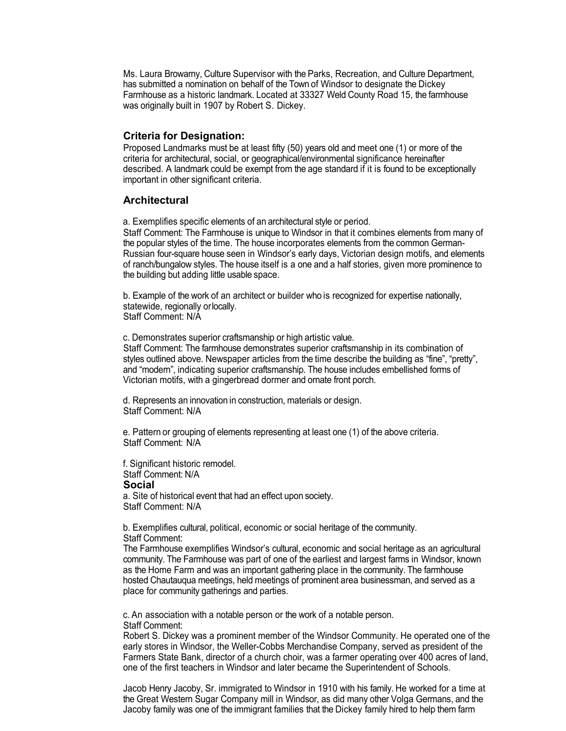Ms. Laura Browarny, Culture Supervisor with the Parks, Recreation, and Culture Department, has submitted a nomination on behalf of the Town of Windsor to designate the Dickey Farmhouse as a historic landmark. Located at 33327 Weld County Road 15, the farmhouse was originally built in 1907 by Robert S. Dickey.

#### **Criteria for Designation:**

Proposed Landmarks must be at least fifty (50) years old and meet one (1) or more of the criteria for architectural, social, or geographical/environmental significance hereinafter described. A landmark could be exempt from the age standard if it is found to be exceptionally important in other significant criteria.

#### **Architectural**

a. Exemplifies specific elements of an architectural style or period.

Staff Comment: The Farmhouse is unique to Windsor in that it combines elements from many of the popular styles of the time. The house incorporates elements from the common German-Russian four-square house seen in Windsor's early days, Victorian design motifs, and elements of ranch/bungalow styles. The house itself is a one and a half stories, given more prominence to the building but adding little usable space.

b. Example of the work of an architect or builder who is recognized for expertise nationally, statewide, regionally or locally. Staff Comment: N/A

c. Demonstrates superior craftsmanship or high artistic value. Staff Comment: The farmhouse demonstrates superior craftsmanship in its combination of styles outlined above. Newspaper articles from the time describe the building as "fine", "pretty", and "modern", indicating superior craftsmanship. The house includes embellished forms of Victorian motifs, with a gingerbread dormer and ornate front porch.

d. Represents an innovation in construction, materials or design. Staff Comment: N/A

e. Pattern or grouping of elements representing at least one (1) of the above criteria. Staff Comment: N/A

f. Significant historic remodel. Staff Comment: N/A **Social** a. Site of historical event that had an effect upon society. Staff Comment: N/A

b. Exemplifies cultural, political, economic or social heritage of the community. Staff Comment:

The Farmhouse exemplifies Windsor's cultural, economic and social heritage as an agricultural community. The Farmhouse was part of one of the earliest and largest farms in Windsor, known as the Home Farm and was an important gathering place in the community. The farmhouse hosted Chautauqua meetings, held meetings of prominent area businessman, and served as a place for community gatherings and parties.

c. An association with a notable person or the work of a notable person. Staff Comment:

Robert S. Dickey was a prominent member of the Windsor Community. He operated one of the early stores in Windsor, the Weller-Cobbs Merchandise Company, served as president of the Farmers State Bank, director of a church choir, was a farmer operating over 400 acres of land, one of the first teachers in Windsor and later became the Superintendent of Schools.

Jacob Henry Jacoby, Sr. immigrated to Windsor in 1910 with his family. He worked for a time at the Great Western Sugar Company mill in Windsor, as did many other Volga Germans, and the Jacoby family was one of the immigrant families that the Dickey family hired to help them farm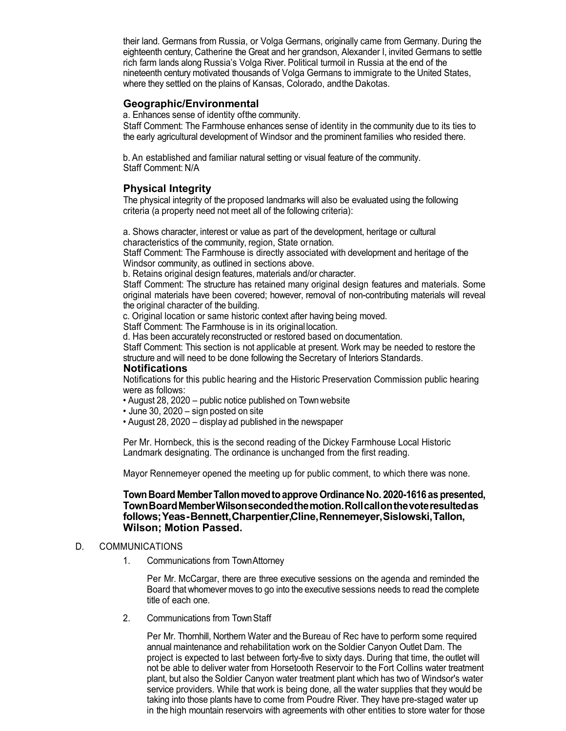their land. Germans from Russia, or Volga Germans, originally came from Germany. During the eighteenth century, Catherine the Great and her grandson, Alexander I, invited Germans to settle rich farm lands along Russia's Volga River. Political turmoil in Russia at the end of the nineteenth century motivated thousands of Volga Germans to immigrate to the United States, where they settled on the plains of Kansas, Colorado, andthe Dakotas.

## **Geographic/Environmental**

a. Enhances sense of identity ofthe community.

Staff Comment: The Farmhouse enhances sense of identity in the community due to its ties to the early agricultural development of Windsor and the prominent families who resided there.

b. An established and familiar natural setting or visual feature of the community. Staff Comment: N/A

## **Physical Integrity**

The physical integrity of the proposed landmarks will also be evaluated using the following criteria (a property need not meet all of the following criteria):

a. Shows character, interest or value as part of the development, heritage or cultural characteristics of the community, region, State ornation.

Staff Comment: The Farmhouse is directly associated with development and heritage of the Windsor community, as outlined in sections above.

b. Retains original design features, materials and/or character.

Staff Comment: The structure has retained many original design features and materials. Some original materials have been covered; however, removal of non-contributing materials will reveal the original character of the building.

c. Original location or same historic context after having being moved.

Staff Comment: The Farmhouse is in its original location.

d. Has been accurately reconstructed or restored based on documentation.

Staff Comment: This section is not applicable at present. Work may be needed to restore the structure and will need to be done following the Secretary of Interiors Standards.

## **Notifications**

Notifications for this public hearing and the Historic Preservation Commission public hearing were as follows:

- August 28, 2020 public notice published on Townwebsite
- June 30, 2020 sign posted on site
- August 28, 2020 display ad published in the newspaper

Per Mr. Hornbeck, this is the second reading of the Dickey Farmhouse Local Historic Landmark designating. The ordinance is unchanged from the first reading.

Mayor Rennemeyer opened the meeting up for public comment, to which there was none.

#### **TownBoard MemberTallonmovedtoapprove Ordinance No. 2020-1616as presented, TownBoardMemberWilsonsecondedthemotion.Rollcallonthevoteresultedas follows;Yeas-Bennett,Charpentier,Cline,Rennemeyer,Sislowski,Tallon, Wilson; Motion Passed.**

#### D. COMMUNICATIONS

1. Communications from TownAttorney

Per Mr. McCargar, there are three executive sessions on the agenda and reminded the Board that whomever moves to go into the executive sessions needs to read the complete title of each one.

2. Communications from TownStaff

Per Mr. Thornhill, Northern Water and the Bureau of Rec have to perform some required annual maintenance and rehabilitation work on the Soldier Canyon Outlet Dam. The project is expected to last between forty-five to sixty days. During that time, the outlet will not be able to deliver water from Horsetooth Reservoir to the Fort Collins water treatment plant, but also the Soldier Canyon water treatment plant which has two of Windsor's water service providers. While that work is being done, all the water supplies that they would be taking into those plants have to come from Poudre River. They have pre-staged water up in the high mountain reservoirs with agreements with other entities to store water for those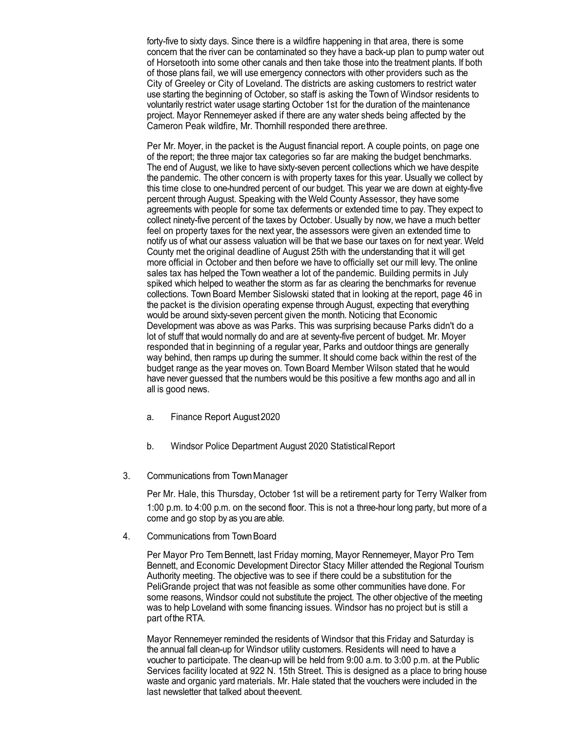forty-five to sixty days. Since there is a wildfire happening in that area, there is some concern that the river can be contaminated so they have a back-up plan to pump water out of Horsetooth into some other canals and then take those into the treatment plants. If both of those plans fail, we will use emergency connectors with other providers such as the City of Greeley or City of Loveland. The districts are asking customers to restrict water use starting the beginning of October, so staff is asking the Town of Windsor residents to voluntarily restrict water usage starting October 1st for the duration of the maintenance project. Mayor Rennemeyer asked if there are any water sheds being affected by the Cameron Peak wildfire, Mr. Thornhill responded there arethree.

Per Mr. Moyer, in the packet is the August financial report. A couple points, on page one of the report; the three major tax categories so far are making the budget benchmarks. The end of August, we like to have sixty-seven percent collections which we have despite the pandemic. The other concern is with property taxes for this year. Usually we collect by this time close to one-hundred percent of our budget. This year we are down at eighty-five percent through August. Speaking with the Weld County Assessor, they have some agreements with people for some tax deferments or extended time to pay. They expect to collect ninety-five percent of the taxes by October. Usually by now, we have a much better feel on property taxes for the next year, the assessors were given an extended time to notify us of what our assess valuation will be that we base our taxes on for next year. Weld County met the original deadline of August 25th with the understanding that it will get more official in October and then before we have to officially set our mill levy. The online sales tax has helped the Town weather a lot of the pandemic. Building permits in July spiked which helped to weather the storm as far as clearing the benchmarks for revenue collections. Town Board Member Sislowski stated that in looking at the report, page 46 in the packet is the division operating expense through August, expecting that everything would be around sixty-seven percent given the month. Noticing that Economic Development was above as was Parks. This was surprising because Parks didn't do a lot of stuff that would normally do and are at seventy-five percent of budget. Mr. Moyer responded that in beginning of a regular year, Parks and outdoor things are generally way behind, then ramps up during the summer. It should come back within the rest of the budget range as the year moves on. Town Board Member Wilson stated that he would have never guessed that the numbers would be this positive a few months ago and all in all is good news.

- a. Finance Report August2020
- b. Windsor Police Department August 2020 StatisticalReport
- 3. Communications from TownManager

Per Mr. Hale, this Thursday, October 1st will be a retirement party for Terry Walker from 1:00 p.m. to 4:00 p.m. on the second floor. This is not a three-hour long party, but more of a come and go stop by as you are able.

4. Communications from TownBoard

Per Mayor Pro Tem Bennett, last Friday morning, Mayor Rennemeyer, Mayor Pro Tem Bennett, and Economic Development Director Stacy Miller attended the Regional Tourism Authority meeting. The objective was to see if there could be a substitution for the PeliGrande project that was not feasible as some other communities have done. For some reasons, Windsor could not substitute the project. The other objective of the meeting was to help Loveland with some financing issues. Windsor has no project but is still a part ofthe RTA.

Mayor Rennemeyer reminded the residents of Windsor that this Friday and Saturday is the annual fall clean-up for Windsor utility customers. Residents will need to have a voucher to participate. The clean-up will be held from 9:00 a.m. to 3:00 p.m. at the Public Services facility located at 922 N. 15th Street. This is designed as a place to bring house waste and organic yard materials. Mr. Hale stated that the vouchers were included in the last newsletter that talked about theevent.